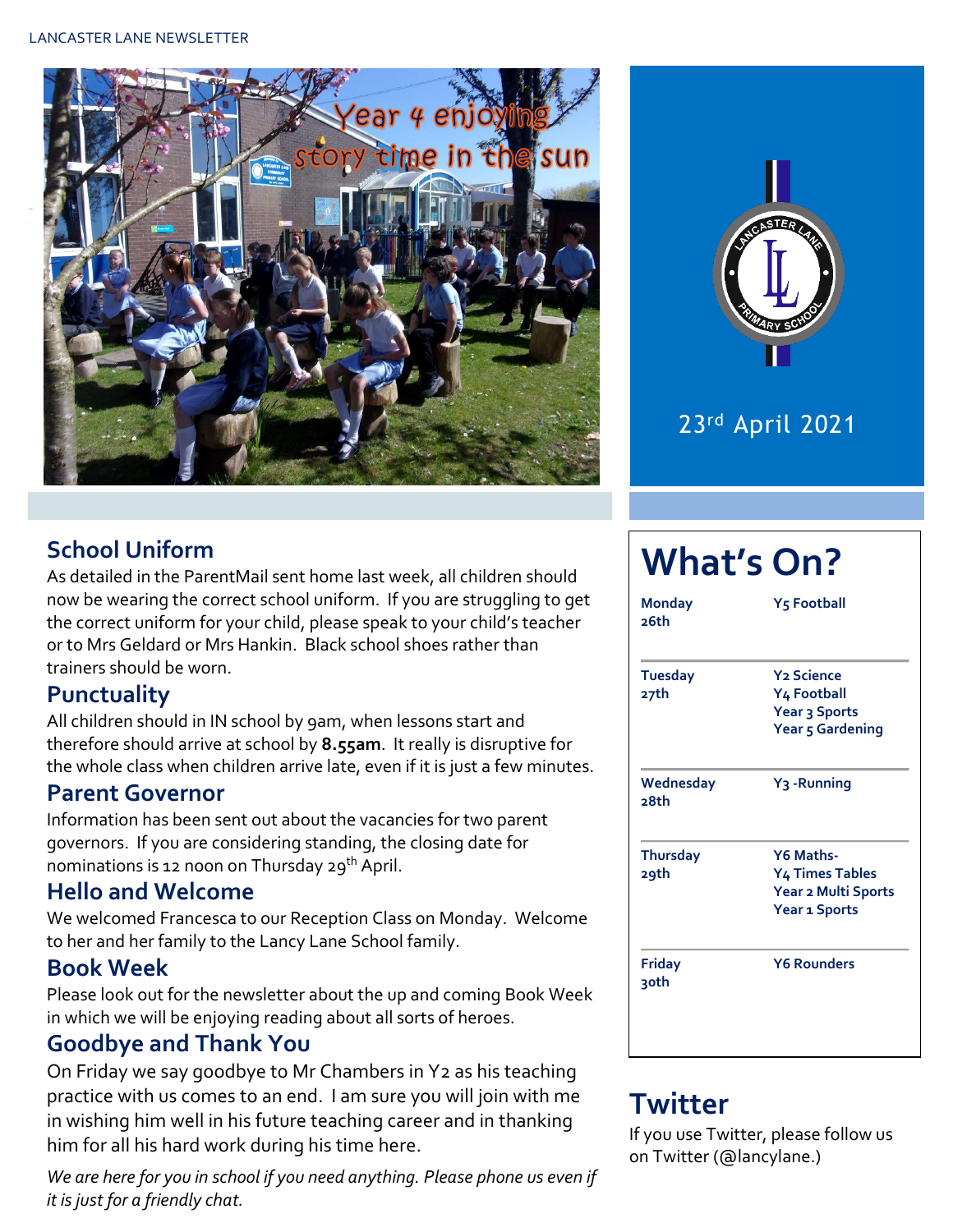



### **School Uniform**

As detailed in the ParentMail sent home last week, all children should now be wearing the correct school uniform. If you are struggling to get the correct uniform for your child, please speak to your child's teacher or to Mrs Geldard or Mrs Hankin. Black school shoes rather than trainers should be worn.

#### **Punctuality**

All children should in IN school by 9am, when lessons start and therefore should arrive at school by **8.55am**. It really is disruptive for the whole class when children arrive late, even if it is just a few minutes.

#### **Parent Governor**

Information has been sent out about the vacancies for two parent governors. If you are considering standing, the closing date for nominations is 12 noon on Thursday 29<sup>th</sup> April.

#### **Hello and Welcome**

We welcomed Francesca to our Reception Class on Monday. Welcome to her and her family to the Lancy Lane School family.

#### **Book Week**

Please look out for the newsletter about the up and coming Book Week in which we will be enjoying reading about all sorts of heroes.

#### **Goodbye and Thank You**

On Friday we say goodbye to Mr Chambers in Y2 as his teaching practice with us comes to an end. I am sure you will join with me in wishing him well in his future teaching career and in thanking him for all his hard work during his time here.

*We are here for you in school if you need anything. Please phone us even if it is just for a friendly chat.* 

# **What's On?**

| <b>Monday</b><br>26th   | <b>Y<sub>5</sub> Football</b>                                                      |  |  |  |  |
|-------------------------|------------------------------------------------------------------------------------|--|--|--|--|
| <b>Tuesday</b><br>27th  | <b>Y<sub>2</sub></b> Science<br>Y4 Football<br>Year 3 Sports<br>Year 5 Gardening   |  |  |  |  |
| Wednesday<br>28th       | Y <sub>3</sub> -Running                                                            |  |  |  |  |
| <b>Thursday</b><br>29th | Y6 Maths-<br><b>Y4 Times Tables</b><br>Year 2 Multi Sports<br><b>Year 1 Sports</b> |  |  |  |  |
| Friday<br>3oth          | <b>Y6 Rounders</b>                                                                 |  |  |  |  |

# **Twitter**

If you use Twitter, please follow us on Twitter (@lancylane.)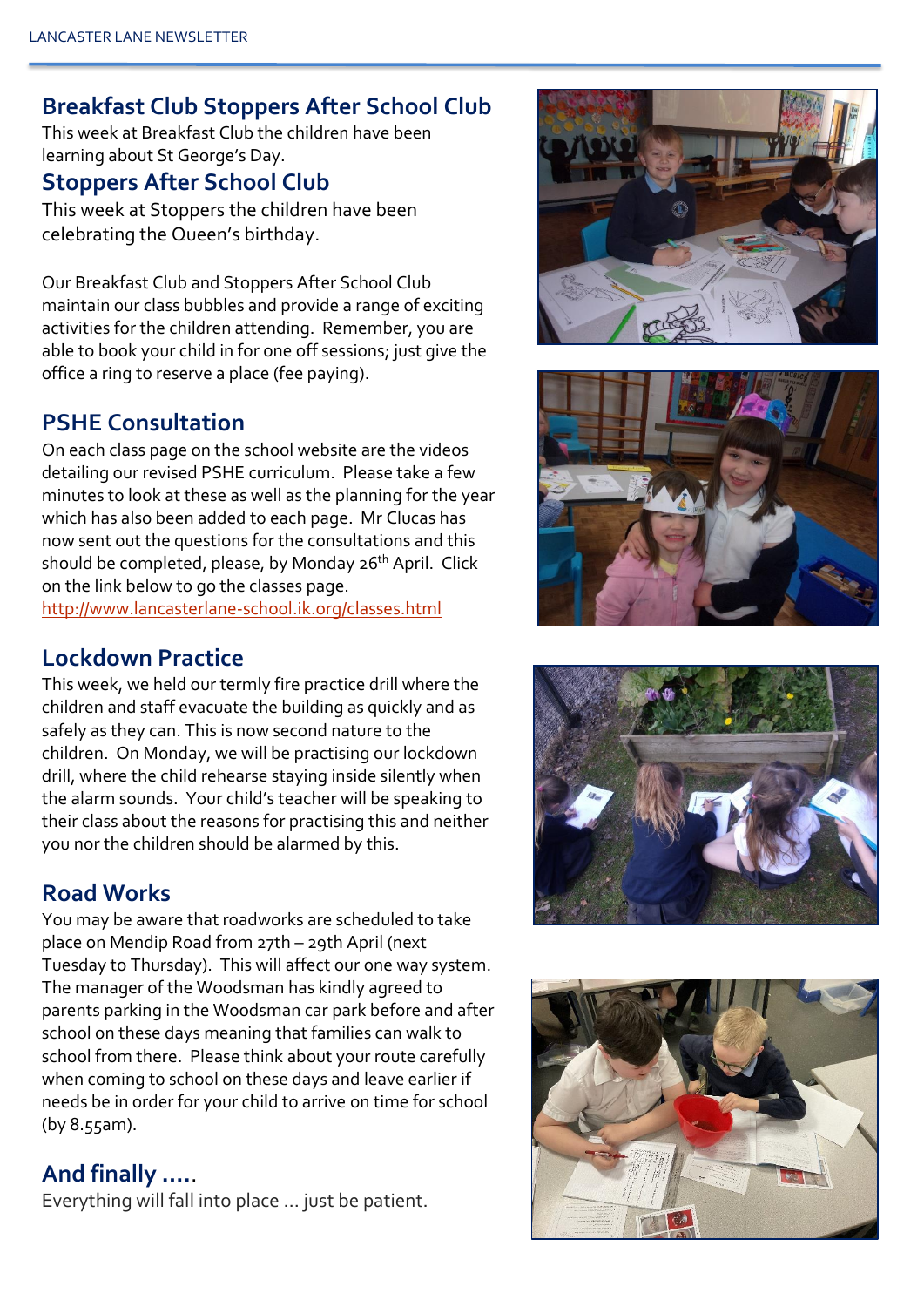### **Breakfast Club Stoppers After School Club**

This week at Breakfast Club the children have been learning about St George's Day.

### **Stoppers After School Club**

This week at Stoppers the children have been celebrating the Queen's birthday.

Our Breakfast Club and Stoppers After School Club maintain our class bubbles and provide a range of exciting activities for the children attending. Remember, you are able to book your child in for one off sessions; just give the office a ring to reserve a place (fee paying).

# **PSHE Consultation**

On each class page on the school website are the videos detailing our revised PSHE curriculum. Please take a few minutes to look at these as well as the planning for the year which has also been added to each page. Mr Clucas has now sent out the questions for the consultations and this should be completed, please, by Monday 26<sup>th</sup> April. Click on the link below to go the classes page. <http://www.lancasterlane-school.ik.org/classes.html>

## **Lockdown Practice**

This week, we held our termly fire practice drill where the children and staff evacuate the building as quickly and as safely as they can. This is now second nature to the children. On Monday, we will be practising our lockdown drill, where the child rehearse staying inside silently when the alarm sounds. Your child's teacher will be speaking to their class about the reasons for practising this and neither you nor the children should be alarmed by this.

## **Road Works**

You may be aware that roadworks are scheduled to take place on Mendip Road from 27th – 29th April (next Tuesday to Thursday). This will affect our one way system. The manager of the Woodsman has kindly agreed to parents parking in the Woodsman car park before and after school on these days meaning that families can walk to school from there. Please think about your route carefully when coming to school on these days and leave earlier if needs be in order for your child to arrive on time for school (by 8.55am).

## **And finally ….**.

Everything will fall into place … just be patient.